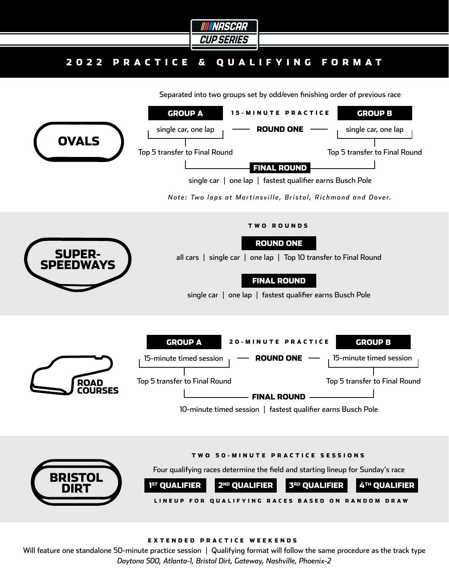

# 2022 PRACTICE & QUALIFYING FORMAT

Separated into two groups set by odd/even finishing order of previous race



### EXTENDED PRACTICE WEEKENDS

Will feature one standalone 50-minute practice session | Qualifying format will follow the same procedure as the track type *Daytona 500, Atlanta-1, Bristol Dirt, Gateway, Nashville, Phoenix-2*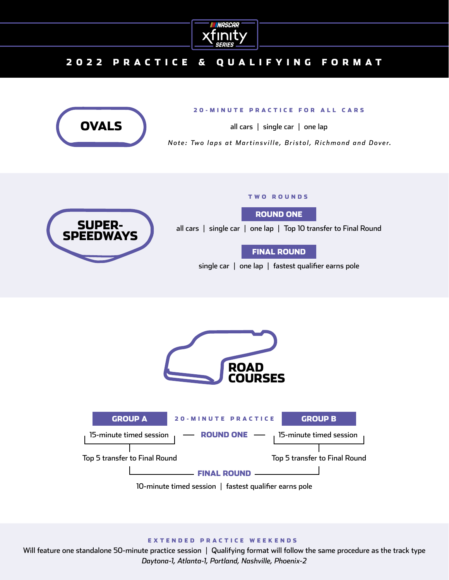

# 2022 PRACTICE & QUALIFYING FORMAT



### 20-MINUTE PRACTICE FOR ALL CARS

all cars | single car | one lap

*Note: Two laps at Martinsville, Bristol, Richmond and Dover.* 

# **SUPER** SPEEDW

#### TWO ROUNDS

ROUND ONE

all cars | single car | one lap | Top 10 transfer to Final Round

FINAL ROUND

single car | one lap | fastest qualifier earns pole





#### EXTENDED PRACTICE WEEKENDS

Will feature one standalone 50-minute practice session | Qualifying format will follow the same procedure as the track type *Daytona-1, Atlanta-1, Portland, Nashville, Phoenix-2*